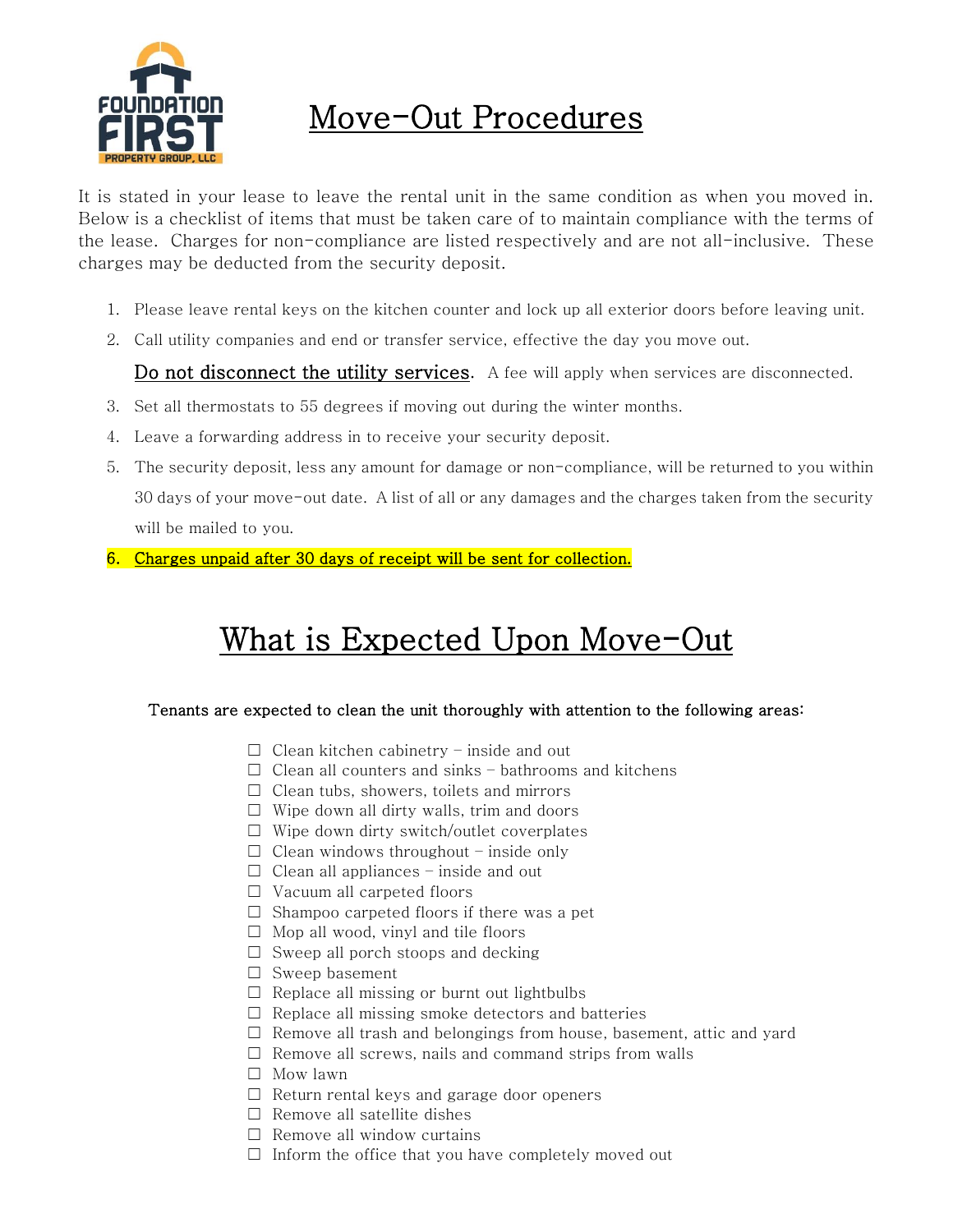

### Move-Out Procedures

It is stated in your lease to leave the rental unit in the same condition as when you moved in. Below is a checklist of items that must be taken care of to maintain compliance with the terms of the lease. Charges for non-compliance are listed respectively and are not all-inclusive. These charges may be deducted from the security deposit.

- 1. Please leave rental keys on the kitchen counter and lock up all exterior doors before leaving unit.
- 2. Call utility companies and end or transfer service, effective the day you move out.

Do not disconnect the utility services. A fee will apply when services are disconnected.

- 3. Set all thermostats to 55 degrees if moving out during the winter months.
- 4. Leave a forwarding address in to receive your security deposit.
- 5. The security deposit, less any amount for damage or non-compliance, will be returned to you within 30 days of your move-out date. A list of all or any damages and the charges taken from the security will be mailed to you.
- 6. Charges unpaid after 30 days of receipt will be sent for collection.

# What is Expected Upon Move-Out

#### Tenants are expected to clean the unit thoroughly with attention to the following areas:

- $\Box$  Clean kitchen cabinetry inside and out
- $\Box$  Clean all counters and sinks bathrooms and kitchens
- $\Box$  Clean tubs, showers, toilets and mirrors
- $\Box$  Wipe down all dirty walls, trim and doors
- $\Box$  Wipe down dirty switch/outlet coverplates
- $\Box$  Clean windows throughout inside only
- $\Box$  Clean all appliances inside and out
- ☐ Vacuum all carpeted floors
- $\Box$  Shampoo carpeted floors if there was a pet
- $\Box$  Mop all wood, vinyl and tile floors
- $\Box$  Sweep all porch stoops and decking
- $\Box$  Sweep basement
- $\Box$  Replace all missing or burnt out lightbulbs
- $\Box$  Replace all missing smoke detectors and batteries
- $\Box$  Remove all trash and belongings from house, basement, attic and yard
- $\Box$  Remove all screws, nails and command strips from walls
- ☐ Mow lawn
- ☐ Return rental keys and garage door openers
- $\Box$  Remove all satellite dishes
- $\Box$  Remove all window curtains
- $\Box$  Inform the office that you have completely moved out